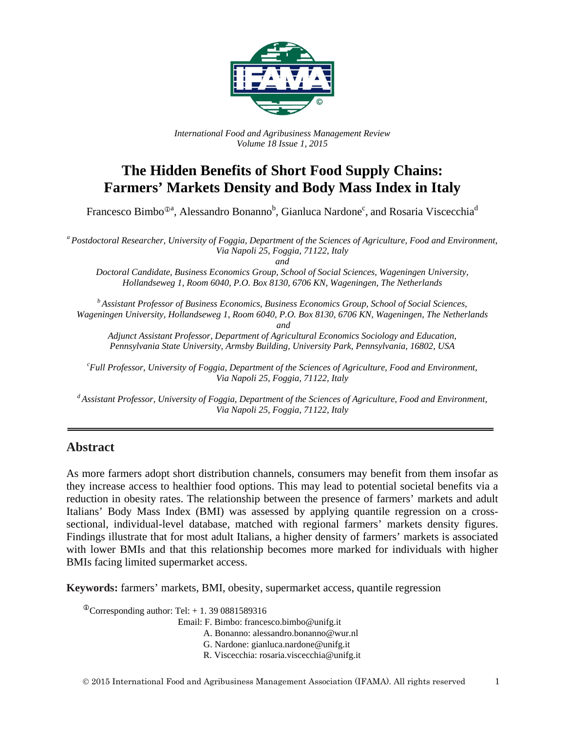

*International Food and Agribusiness Management Review Volume 18 Issue 1, 2015*

# **The Hidden Benefits of Short Food Supply Chains: Farmers' Markets Density and Body Mass Index in Italy**

Francesco Bimbo<sup>®a</sup>, Alessandro Bonanno<sup>b</sup>, Gianluca Nardone<sup>c</sup>, and Rosaria Viscecchia<sup>d</sup>

*<sup>a</sup> Postdoctoral Researcher, University of Foggia, Department of the Sciences of Agriculture, Food and Environment, Via Napoli 25, Foggia, 71122, Italy*

*and*

*Doctoral Candidate, Business Economics Group, School of Social Sciences, Wageningen University, Hollandseweg 1, Room 6040, P.O. Box 8130, 6706 KN, Wageningen, The Netherlands*

*<sup>b</sup> Assistant Professor of Business Economics, Business Economics Group, School of Social Sciences, Wageningen University, Hollandseweg 1, Room 6040, P.O. Box 8130, 6706 KN, Wageningen, The Netherlands*

*and*

*Adjunct Assistant Professor, Department of Agricultural Economics Sociology and Education, Pennsylvania State University, Armsby Building, University Park, Pennsylvania, 16802, USA*

*c Full Professor, University of Foggia, Department of the Sciences of Agriculture, Food and Environment, Via Napoli 25, Foggia, 71122, Italy*

*<sup>d</sup> Assistant Professor, University of Foggia, Department of the Sciences of Agriculture, Food and Environment, Via Napoli 25, Foggia, 71122, Italy*

#### **Abstract**

As more farmers adopt short distribution channels, consumers may benefit from them insofar as they increase access to healthier food options. This may lead to potential societal benefits via a reduction in obesity rates. The relationship between the presence of farmers' markets and adult Italians' Body Mass Index (BMI) was assessed by applying quantile regression on a crosssectional, individual-level database, matched with regional farmers' markets density figures. Findings illustrate that for most adult Italians, a higher density of farmers' markets is associated with lower BMIs and that this relationship becomes more marked for individuals with higher BMIs facing limited supermarket access.

**Keywords:** farmers' markets, BMI, obesity, supermarket access, quantile regression

 $\textcirc{}$ Corresponding author: Tel: + 1. 39 0881589316

Email: F. Bimbo: francesco.bimbo@unifg.it

A. Bonanno: alessandro.bonanno@wur.nl

G. Nardone: gianluca.nardone@unifg.it

R. Viscecchia: rosaria.viscecchia@unifg.it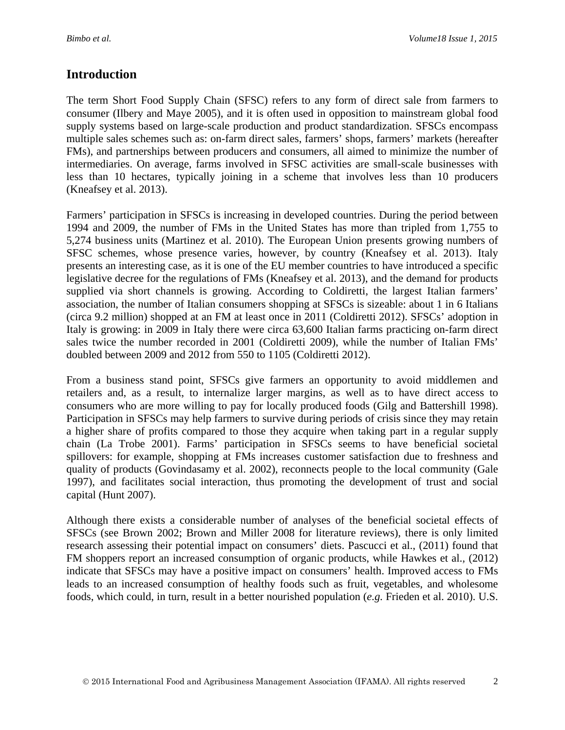### **Introduction**

The term Short Food Supply Chain (SFSC) refers to any form of direct sale from farmers to consumer (Ilbery and Maye 2005), and it is often used in opposition to mainstream global food supply systems based on large-scale production and product standardization. SFSCs encompass multiple sales schemes such as: on-farm direct sales, farmers' shops, farmers' markets (hereafter FMs), and partnerships between producers and consumers, all aimed to minimize the number of intermediaries. On average, farms involved in SFSC activities are small-scale businesses with less than 10 hectares, typically joining in a scheme that involves less than 10 producers (Kneafsey et al. 2013).

Farmers' participation in SFSCs is increasing in developed countries. During the period between 1994 and 2009, the number of FMs in the United States has more than tripled from 1,755 to 5,274 business units (Martinez et al. 2010). The European Union presents growing numbers of SFSC schemes, whose presence varies, however, by country (Kneafsey et al. 2013). Italy presents an interesting case, as it is one of the EU member countries to have introduced a specific legislative decree for the regulations of FMs (Kneafsey et al. 2013), and the demand for products supplied via short channels is growing. According to Coldiretti, the largest Italian farmers' association, the number of Italian consumers shopping at SFSCs is sizeable: about 1 in 6 Italians (circa 9.2 million) shopped at an FM at least once in 2011 (Coldiretti 2012). SFSCs' adoption in Italy is growing: in 2009 in Italy there were circa 63,600 Italian farms practicing on-farm direct sales twice the number recorded in 2001 (Coldiretti 2009), while the number of Italian FMs' doubled between 2009 and 2012 from 550 to 1105 (Coldiretti 2012).

From a business stand point, SFSCs give farmers an opportunity to avoid middlemen and retailers and, as a result, to internalize larger margins, as well as to have direct access to consumers who are more willing to pay for locally produced foods (Gilg and Battershill 1998). Participation in SFSCs may help farmers to survive during periods of crisis since they may retain a higher share of profits compared to those they acquire when taking part in a regular supply chain (La Trobe 2001). Farms' participation in SFSCs seems to have beneficial societal spillovers: for example, shopping at FMs increases customer satisfaction due to freshness and quality of products (Govindasamy et al. 2002), reconnects people to the local community (Gale 1997), and facilitates social interaction, thus promoting the development of trust and social capital (Hunt 2007).

Although there exists a considerable number of analyses of the beneficial societal effects of SFSCs (see Brown 2002; Brown and Miller 2008 for literature reviews), there is only limited research assessing their potential impact on consumers' diets. Pascucci et al., (2011) found that FM shoppers report an increased consumption of organic products, while Hawkes et al.*,* (2012) indicate that SFSCs may have a positive impact on consumers' health. Improved access to FMs leads to an increased consumption of healthy foods such as fruit, vegetables, and wholesome foods, which could, in turn, result in a better nourished population (*e.g.* Frieden et al. 2010). U.S.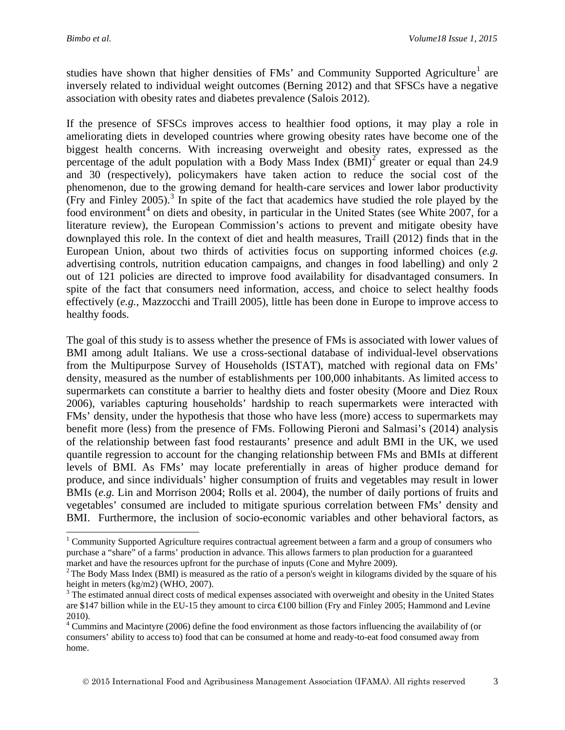$\overline{a}$ 

studies have shown that higher densities of FMs' and Community Supported Agriculture<sup>[1](#page-2-0)</sup> are inversely related to individual weight outcomes (Berning 2012) and that SFSCs have a negative association with obesity rates and diabetes prevalence (Salois 2012).

If the presence of SFSCs improves access to healthier food options, it may play a role in ameliorating diets in developed countries where growing obesity rates have become one of the biggest health concerns. With increasing overweight and obesity rates, expressed as the percentage of the adult population with a Body Mass Index  $(BMI)^2$  $(BMI)^2$  greater or equal than 24.9 and 30 (respectively), policymakers have taken action to reduce the social cost of the phenomenon, due to the growing demand for health-care services and lower labor productivity (Fry and Finley 2005).<sup>[3](#page-2-2)</sup> In spite of the fact that academics have studied the role played by the food environment<sup>[4](#page-2-3)</sup> on diets and obesity, in particular in the United States (see White 2007, for a literature review), the European Commission's actions to prevent and mitigate obesity have downplayed this role. In the context of diet and health measures, Traill (2012) finds that in the European Union, about two thirds of activities focus on supporting informed choices (*e.g.* advertising controls, nutrition education campaigns, and changes in food labelling) and only 2 out of 121 policies are directed to improve food availability for disadvantaged consumers. In spite of the fact that consumers need information, access, and choice to select healthy foods effectively (*e.g.*, Mazzocchi and Traill 2005), little has been done in Europe to improve access to healthy foods.

The goal of this study is to assess whether the presence of FMs is associated with lower values of BMI among adult Italians. We use a cross-sectional database of individual-level observations from the Multipurpose Survey of Households (ISTAT), matched with regional data on FMs' density, measured as the number of establishments per 100,000 inhabitants. As limited access to supermarkets can constitute a barrier to healthy diets and foster obesity (Moore and Diez Roux 2006), variables capturing households' hardship to reach supermarkets were interacted with FMs' density, under the hypothesis that those who have less (more) access to supermarkets may benefit more (less) from the presence of FMs. Following Pieroni and Salmasi's (2014) analysis of the relationship between fast food restaurants' presence and adult BMI in the UK, we used quantile regression to account for the changing relationship between FMs and BMIs at different levels of BMI. As FMs' may locate preferentially in areas of higher produce demand for produce, and since individuals' higher consumption of fruits and vegetables may result in lower BMIs (*e.g.* Lin and Morrison 2004; Rolls et al. 2004), the number of daily portions of fruits and vegetables' consumed are included to mitigate spurious correlation between FMs' density and BMI. Furthermore, the inclusion of socio-economic variables and other behavioral factors, as

<span id="page-2-0"></span><sup>&</sup>lt;sup>1</sup> Community Supported Agriculture requires contractual agreement between a farm and a group of consumers who purchase a "share" of a farms' production in advance. This allows farmers to plan production for a guaranteed market and have the resources upfront for the purchase of inputs (Cone and Myhre 2009).<br><sup>2</sup> The Body Mass Index (BMI) is measured as the ratio of a person's weight in kilograms divided by the square of his

<span id="page-2-1"></span>height in meters (kg/m2) (WHO, 2007).

<span id="page-2-2"></span><sup>&</sup>lt;sup>3</sup> The estimated annual direct costs of medical expenses associated with overweight and obesity in the United States are \$147 billion while in the EU-15 they amount to circa €100 billion (Fry and Finley 2005; Hammond and Levine 2010).

<span id="page-2-3"></span><sup>4</sup> Cummins and Macintyre (2006) define the food environment as those factors influencing the availability of (or consumers' ability to access to) food that can be consumed at home and ready-to-eat food consumed away from home.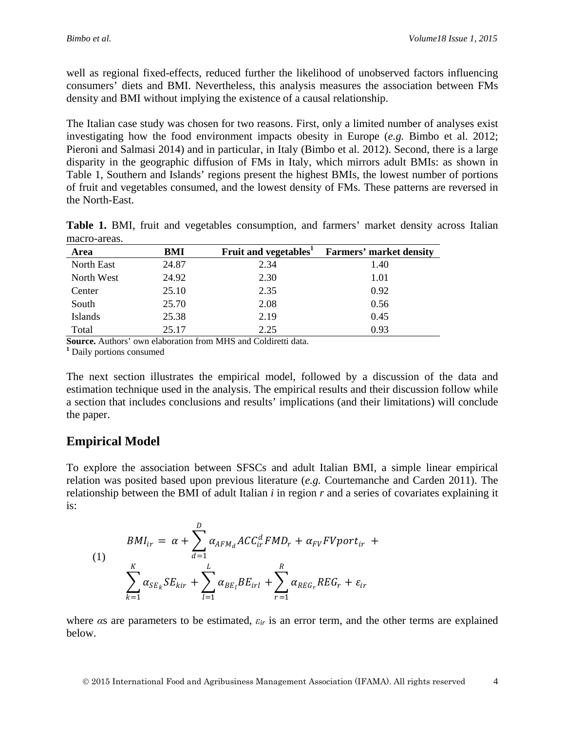well as regional fixed-effects, reduced further the likelihood of unobserved factors influencing consumers' diets and BMI. Nevertheless, this analysis measures the association between FMs density and BMI without implying the existence of a causal relationship.

The Italian case study was chosen for two reasons. First, only a limited number of analyses exist investigating how the food environment impacts obesity in Europe (*e.g.* Bimbo et al. 2012; Pieroni and Salmasi 2014) and in particular, in Italy (Bimbo et al. 2012). Second, there is a large disparity in the geographic diffusion of FMs in Italy, which mirrors adult BMIs: as shown in Table 1, Southern and Islands' regions present the highest BMIs, the lowest number of portions of fruit and vegetables consumed, and the lowest density of FMs. These patterns are reversed in the North-East.

|              |  |  | Table 1. BMI, fruit and vegetables consumption, and farmers' market density across Italian |  |  |  |
|--------------|--|--|--------------------------------------------------------------------------------------------|--|--|--|
| macro-areas. |  |  |                                                                                            |  |  |  |

| Area       | BMI   | Fruit and vegetables <sup>1</sup> | <b>Farmers' market density</b> |
|------------|-------|-----------------------------------|--------------------------------|
| North East | 24.87 | 2.34                              | 1.40                           |
| North West | 24.92 | 2.30                              | 1.01                           |
| Center     | 25.10 | 2.35                              | 0.92                           |
| South      | 25.70 | 2.08                              | 0.56                           |
| Islands    | 25.38 | 2.19                              | 0.45                           |
| Total      | 25.17 | 2.25                              | 0.93                           |

**Source.** Authors' own elaboration from MHS and Coldiretti data. **<sup>1</sup>** Daily portions consumed

The next section illustrates the empirical model, followed by a discussion of the data and estimation technique used in the analysis. The empirical results and their discussion follow while a section that includes conclusions and results' implications (and their limitations) will conclude the paper.

#### **Empirical Model**

To explore the association between SFSCs and adult Italian BMI, a simple linear empirical relation was posited based upon previous literature (*e.g.* Courtemanche and Carden 2011). The relationship between the BMI of adult Italian *i* in region *r* and a series of covariates explaining it is:

$$
BMI_{ir} = \alpha + \sum_{d=1}^{D} \alpha_{AFM_d} ACC_{ir}^d FMD_r + \alpha_{FV} FVport_{ir} + \sum_{k=1}^{K} \alpha_{SE_k} SE_{kir} + \sum_{l=1}^{L} \alpha_{BE_l} BE_{irl} + \sum_{r=1}^{R} \alpha_{REG_r} REG_r + \varepsilon_{ir}
$$

where *α*s are parameters to be estimated, *εir* is an error term, and the other terms are explained below.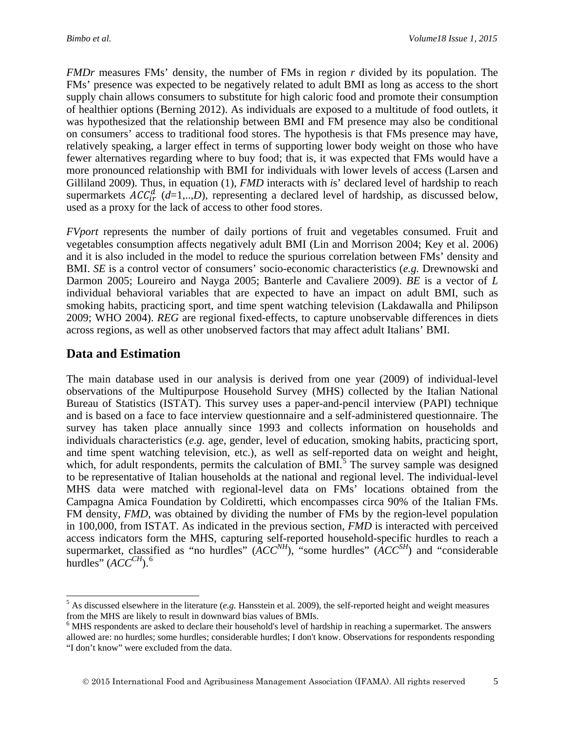*FMDr* measures FMs' density, the number of FMs in region *r* divided by its population. The FMs' presence was expected to be negatively related to adult BMI as long as access to the short supply chain allows consumers to substitute for high caloric food and promote their consumption of healthier options (Berning 2012). As individuals are exposed to a multitude of food outlets, it was hypothesized that the relationship between BMI and FM presence may also be conditional on consumers' access to traditional food stores. The hypothesis is that FMs presence may have, relatively speaking, a larger effect in terms of supporting lower body weight on those who have fewer alternatives regarding where to buy food; that is, it was expected that FMs would have a more pronounced relationship with BMI for individuals with lower levels of access (Larsen and Gilliland 2009). Thus, in equation (1), *FMD* interacts with *i*s' declared level of hardship to reach supermarkets  $AC_{ir}^{d}$  ( $d=1,...,D$ ), representing a declared level of hardship, as discussed below, used as a proxy for the lack of access to other food stores.

*FVport* represents the number of daily portions of fruit and vegetables consumed. Fruit and vegetables consumption affects negatively adult BMI (Lin and Morrison 2004; Key et al. 2006) and it is also included in the model to reduce the spurious correlation between FMs' density and BMI. *SE* is a control vector of consumers' socio-economic characteristics (*e.g.* Drewnowski and Darmon 2005; Loureiro and Nayga 2005; Banterle and Cavaliere 2009). *BE* is a vector of *L* individual behavioral variables that are expected to have an impact on adult BMI, such as smoking habits, practicing sport, and time spent watching television (Lakdawalla and Philipson 2009; WHO 2004). *REG* are regional fixed-effects, to capture unobservable differences in diets across regions, as well as other unobserved factors that may affect adult Italians' BMI.

### **Data and Estimation**

The main database used in our analysis is derived from one year (2009) of individual-level observations of the Multipurpose Household Survey (MHS) collected by the Italian National Bureau of Statistics (ISTAT). This survey uses a paper-and-pencil interview (PAPI) technique and is based on a face to face interview questionnaire and a self-administered questionnaire. The survey has taken place annually since 1993 and collects information on households and individuals characteristics (*e.g.* age, gender, level of education, smoking habits, practicing sport, and time spent watching television, etc.), as well as self-reported data on weight and height, which, for adult respondents, permits the calculation of  $BMI$ .<sup>[5](#page-4-0)</sup> The survey sample was designed to be representative of Italian households at the national and regional level. The individual-level MHS data were matched with regional-level data on FMs' locations obtained from the Campagna Amica Foundation by Coldiretti, which encompasses circa 90% of the Italian FMs. FM density, *FMD*, was obtained by dividing the number of FMs by the region-level population in 100,000, from ISTAT. As indicated in the previous section, *FMD* is interacted with perceived access indicators form the MHS, capturing self-reported household-specific hurdles to reach a supermarket, classified as "no hurdles"  $(ACC^{NH})$ , "some hurdles"  $(ACC^{SH})$  and "considerable" hurdles"  $(ACC^{CH})$ .<sup>[6](#page-4-1)</sup>

<span id="page-4-0"></span><sup>5</sup> As discussed elsewhere in the literature (*e.g.* Hansstein et al. 2009), the self-reported height and weight measures from the MHS are likely to result in downward bias values of BMIs.<br><sup>6</sup> MHS respondents are asked to declare their household's level of hardship in reaching a supermarket. The answers  $\overline{a}$ 

<span id="page-4-1"></span>allowed are: no hurdles; some hurdles; considerable hurdles; I don't know. Observations for respondents responding "I don't know" were excluded from the data.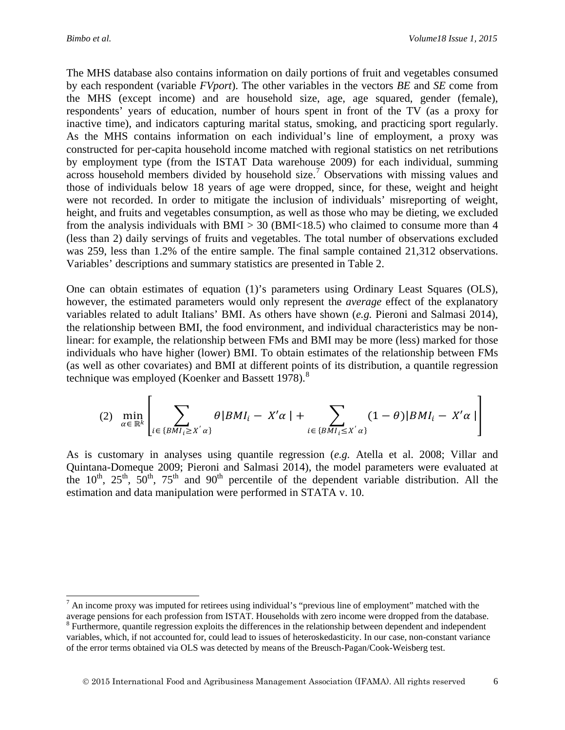$\overline{a}$ 

The MHS database also contains information on daily portions of fruit and vegetables consumed by each respondent (variable *FVport*). The other variables in the vectors *BE* and *SE* come from the MHS (except income) and are household size, age, age squared, gender (female), respondents' years of education, number of hours spent in front of the TV (as a proxy for inactive time), and indicators capturing marital status, smoking, and practicing sport regularly. As the MHS contains information on each individual's line of employment, a proxy was constructed for per-capita household income matched with regional statistics on net retributions by employment type (from the ISTAT Data warehouse 2009) for each individual, summing across household members divided by household size.<sup>[7](#page-5-0)</sup> Observations with missing values and those of individuals below 18 years of age were dropped, since, for these, weight and height were not recorded. In order to mitigate the inclusion of individuals' misreporting of weight, height, and fruits and vegetables consumption, as well as those who may be dieting, we excluded from the analysis individuals with  $BMI > 30$  ( $BMI < 18.5$ ) who claimed to consume more than 4 (less than 2) daily servings of fruits and vegetables. The total number of observations excluded was 259, less than 1.2% of the entire sample. The final sample contained 21,312 observations. Variables' descriptions and summary statistics are presented in Table 2.

One can obtain estimates of equation (1)'s parameters using Ordinary Least Squares (OLS), however, the estimated parameters would only represent the *average* effect of the explanatory variables related to adult Italians' BMI. As others have shown (*e.g.* Pieroni and Salmasi 2014), the relationship between BMI, the food environment, and individual characteristics may be nonlinear: for example, the relationship between FMs and BMI may be more (less) marked for those individuals who have higher (lower) BMI. To obtain estimates of the relationship between FMs (as well as other covariates) and BMI at different points of its distribution, a quantile regression technique was employed (Koenker and Bassett 197[8](#page-5-1)).<sup>8</sup>

$$
(2) \ \ \min_{\alpha \in \mathbb{R}^k} \left[ \sum_{i \in \{BMI_i \ge X^{'}\alpha\}} \theta | BMI_i - X^{\prime}\alpha | + \sum_{i \in \{BMI_i \le X^{'}\alpha\}} (1-\theta) | BMI_i - X^{\prime}\alpha | \right]
$$

As is customary in analyses using quantile regression (*e.g.* Atella et al. 2008; Villar and Quintana-Domeque 2009; Pieroni and Salmasi 2014), the model parameters were evaluated at the  $10^{th}$ ,  $25^{th}$ ,  $50^{th}$ ,  $75^{th}$  and  $90^{th}$  percentile of the dependent variable distribution. All the estimation and data manipulation were performed in STATA v. 10.

<span id="page-5-0"></span> $<sup>7</sup>$  An income proxy was imputed for retirees using individual's "previous line of employment" matched with the</sup> average pensions for each profession from ISTAT. Households with zero income were dropped from the database. <sup>8</sup> Furthermore, quantile regression exploits the differences in the relationship between dependent and independe

<span id="page-5-1"></span>variables, which, if not accounted for, could lead to issues of heteroskedasticity. In our case, non-constant variance of the error terms obtained via OLS was detected by means of the Breusch-Pagan/Cook-Weisberg test.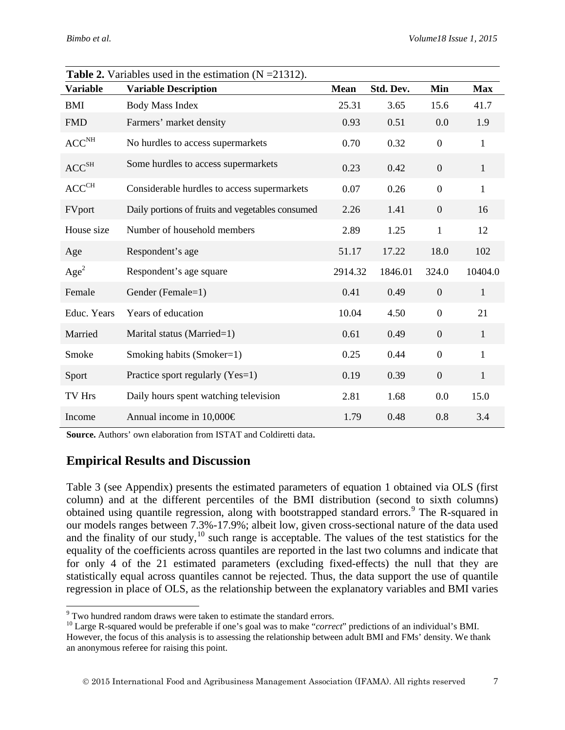|                                                        | <b>Table 2.</b> Variables used in the estimation $(N = 21312)$ . |             |           |                  |              |
|--------------------------------------------------------|------------------------------------------------------------------|-------------|-----------|------------------|--------------|
| <b>Variable</b>                                        | <b>Variable Description</b>                                      | <b>Mean</b> | Std. Dev. | Min              | <b>Max</b>   |
| <b>BMI</b>                                             | <b>Body Mass Index</b>                                           | 25.31       | 3.65      | 15.6             | 41.7         |
| <b>FMD</b>                                             | Farmers' market density                                          | 0.93        | 0.51      | 0.0              | 1.9          |
| ACC <sup>NH</sup>                                      | No hurdles to access supermarkets                                | 0.70        | 0.32      | $\boldsymbol{0}$ | $\mathbf{1}$ |
| $\ensuremath{\mathsf{ACC}}^{\ensuremath{\mathsf{SH}}}$ | Some hurdles to access supermarkets                              | 0.23        | 0.42      | $\boldsymbol{0}$ | $\mathbf{1}$ |
| $ACC^{CH}$                                             | Considerable hurdles to access supermarkets                      | 0.07        | 0.26      | $\boldsymbol{0}$ | $\mathbf{1}$ |
| FVport                                                 | Daily portions of fruits and vegetables consumed                 | 2.26        | 1.41      | $\boldsymbol{0}$ | 16           |
| House size                                             | Number of household members                                      | 2.89        | 1.25      | $\mathbf{1}$     | 12           |
| Age                                                    | Respondent's age                                                 | 51.17       | 17.22     | 18.0             | 102          |
| Age <sup>2</sup>                                       | Respondent's age square                                          | 2914.32     | 1846.01   | 324.0            | 10404.0      |
| Female                                                 | Gender (Female=1)                                                | 0.41        | 0.49      | $\boldsymbol{0}$ | $\mathbf{1}$ |
| Educ. Years                                            | Years of education                                               | 10.04       | 4.50      | $\boldsymbol{0}$ | 21           |
| Married                                                | Marital status (Married=1)                                       | 0.61        | 0.49      | $\boldsymbol{0}$ | $\mathbf{1}$ |
| Smoke                                                  | Smoking habits (Smoker=1)                                        | 0.25        | 0.44      | $\boldsymbol{0}$ | $\mathbf{1}$ |
| Sport                                                  | Practice sport regularly (Yes=1)                                 | 0.19        | 0.39      | $\boldsymbol{0}$ | $\mathbf{1}$ |
| TV Hrs                                                 | Daily hours spent watching television                            | 2.81        | 1.68      | 0.0              | 15.0         |
| Income                                                 | Annual income in $10,000 \in$                                    | 1.79        | 0.48      | 0.8              | 3.4          |

**Table 2.** Variables used in the estimation (N = 21312).

**Source.** Authors' own elaboration from ISTAT and Coldiretti data.

#### **Empirical Results and Discussion**

Table 3 (see Appendix) presents the estimated parameters of equation 1 obtained via OLS (first column) and at the different percentiles of the BMI distribution (second to sixth columns) obtained using quantile regression, along with bootstrapped standard errors.<sup>[9](#page-6-0)</sup> The R-squared in our models ranges between 7.3%-17.9%; albeit low, given cross-sectional nature of the data used and the finality of our study,  $10^{\circ}$  $10^{\circ}$  such range is acceptable. The values of the test statistics for the equality of the coefficients across quantiles are reported in the last two columns and indicate that for only 4 of the 21 estimated parameters (excluding fixed-effects) the null that they are statistically equal across quantiles cannot be rejected. Thus, the data support the use of quantile regression in place of OLS, as the relationship between the explanatory variables and BMI varies

<span id="page-6-0"></span><sup>&</sup>lt;sup>9</sup> Two hundred random draws were taken to estimate the standard errors.

<span id="page-6-1"></span><sup>&</sup>lt;sup>10</sup> Large R-squared would be preferable if one's goal was to make "*correct*" predictions of an individual's BMI.

However, the focus of this analysis is to assessing the relationship between adult BMI and FMs' density. We thank an anonymous referee for raising this point.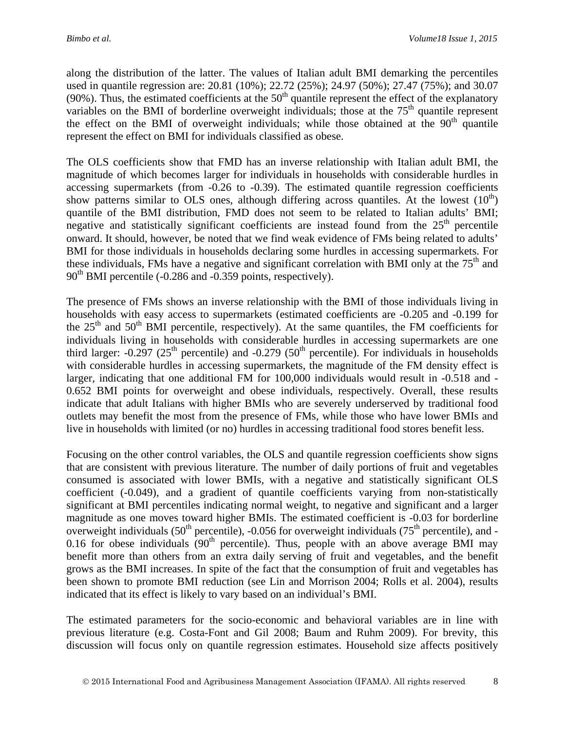along the distribution of the latter. The values of Italian adult BMI demarking the percentiles used in quantile regression are: 20.81 (10%); 22.72 (25%); 24.97 (50%); 27.47 (75%); and 30.07 (90%). Thus, the estimated coefficients at the  $50<sup>th</sup>$  quantile represent the effect of the explanatory variables on the BMI of borderline overweight individuals; those at the  $75<sup>th</sup>$  quantile represent the effect on the BMI of overweight individuals; while those obtained at the  $90<sup>th</sup>$  quantile represent the effect on BMI for individuals classified as obese.

The OLS coefficients show that FMD has an inverse relationship with Italian adult BMI, the magnitude of which becomes larger for individuals in households with considerable hurdles in accessing supermarkets (from -0.26 to -0.39). The estimated quantile regression coefficients show patterns similar to OLS ones, although differing across quantiles. At the lowest  $(10<sup>th</sup>)$ quantile of the BMI distribution, FMD does not seem to be related to Italian adults' BMI; negative and statistically significant coefficients are instead found from the  $25<sup>th</sup>$  percentile onward. It should, however, be noted that we find weak evidence of FMs being related to adults' BMI for those individuals in households declaring some hurdles in accessing supermarkets. For these individuals, FMs have a negative and significant correlation with BMI only at the  $75<sup>th</sup>$  and  $90<sup>th</sup>$  BMI percentile (-0.286 and -0.359 points, respectively).

The presence of FMs shows an inverse relationship with the BMI of those individuals living in households with easy access to supermarkets (estimated coefficients are -0.205 and -0.199 for the  $25<sup>th</sup>$  and  $50<sup>th</sup>$  BMI percentile, respectively). At the same quantiles, the FM coefficients for individuals living in households with considerable hurdles in accessing supermarkets are one third larger:  $-0.297$  ( $25<sup>th</sup>$  percentile) and  $-0.279$  ( $50<sup>th</sup>$  percentile). For individuals in households with considerable hurdles in accessing supermarkets, the magnitude of the FM density effect is larger, indicating that one additional FM for 100,000 individuals would result in -0.518 and - 0.652 BMI points for overweight and obese individuals, respectively. Overall, these results indicate that adult Italians with higher BMIs who are severely underserved by traditional food outlets may benefit the most from the presence of FMs, while those who have lower BMIs and live in households with limited (or no) hurdles in accessing traditional food stores benefit less.

Focusing on the other control variables, the OLS and quantile regression coefficients show signs that are consistent with previous literature. The number of daily portions of fruit and vegetables consumed is associated with lower BMIs, with a negative and statistically significant OLS coefficient (-0.049), and a gradient of quantile coefficients varying from non-statistically significant at BMI percentiles indicating normal weight, to negative and significant and a larger magnitude as one moves toward higher BMIs. The estimated coefficient is -0.03 for borderline overweight individuals (50<sup>th</sup> percentile), -0.056 for overweight individuals (75<sup>th</sup> percentile), and -0.16 for obese individuals  $(90<sup>th</sup>$  percentile). Thus, people with an above average BMI may benefit more than others from an extra daily serving of fruit and vegetables, and the benefit grows as the BMI increases. In spite of the fact that the consumption of fruit and vegetables has been shown to promote BMI reduction (see Lin and Morrison 2004; Rolls et al. 2004), results indicated that its effect is likely to vary based on an individual's BMI.

The estimated parameters for the socio-economic and behavioral variables are in line with previous literature (e.g. Costa-Font and Gil 2008; Baum and Ruhm 2009). For brevity, this discussion will focus only on quantile regression estimates. Household size affects positively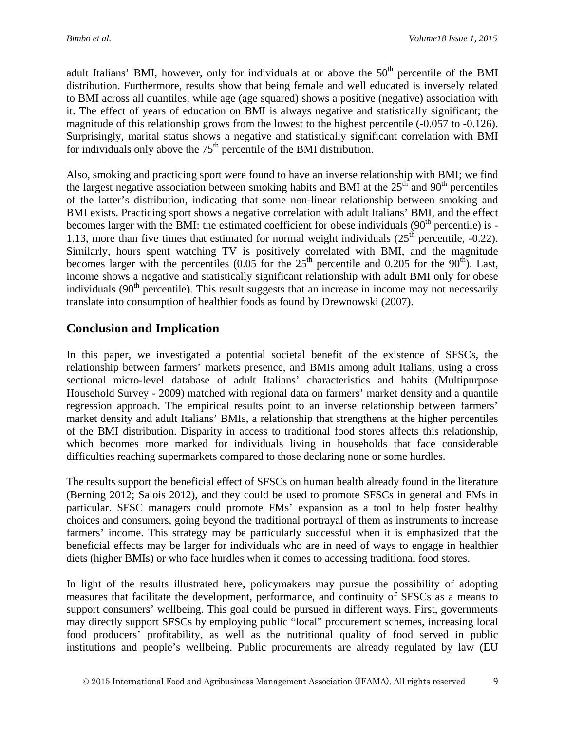adult Italians' BMI, however, only for individuals at or above the  $50<sup>th</sup>$  percentile of the BMI distribution. Furthermore, results show that being female and well educated is inversely related to BMI across all quantiles, while age (age squared) shows a positive (negative) association with it. The effect of years of education on BMI is always negative and statistically significant; the magnitude of this relationship grows from the lowest to the highest percentile (-0.057 to -0.126). Surprisingly, marital status shows a negative and statistically significant correlation with BMI for individuals only above the  $75<sup>th</sup>$  percentile of the BMI distribution.

Also, smoking and practicing sport were found to have an inverse relationship with BMI; we find the largest negative association between smoking habits and BMI at the  $25<sup>th</sup>$  and  $90<sup>th</sup>$  percentiles of the latter's distribution, indicating that some non-linear relationship between smoking and BMI exists. Practicing sport shows a negative correlation with adult Italians' BMI, and the effect becomes larger with the BMI: the estimated coefficient for obese individuals  $(90<sup>th</sup>$  percentile) is -1.13, more than five times that estimated for normal weight individuals  $(25<sup>th</sup>$  percentile, -0.22). Similarly, hours spent watching TV is positively correlated with BMI, and the magnitude becomes larger with the percentiles  $(0.05$  for the  $25<sup>th</sup>$  percentile and 0.205 for the 90<sup>th</sup>). Last, income shows a negative and statistically significant relationship with adult BMI only for obese individuals  $(90<sup>th</sup>$  percentile). This result suggests that an increase in income may not necessarily translate into consumption of healthier foods as found by Drewnowski (2007).

## **Conclusion and Implication**

In this paper, we investigated a potential societal benefit of the existence of SFSCs, the relationship between farmers' markets presence, and BMIs among adult Italians, using a cross sectional micro-level database of adult Italians' characteristics and habits (Multipurpose Household Survey - 2009) matched with regional data on farmers' market density and a quantile regression approach. The empirical results point to an inverse relationship between farmers' market density and adult Italians' BMIs, a relationship that strengthens at the higher percentiles of the BMI distribution. Disparity in access to traditional food stores affects this relationship, which becomes more marked for individuals living in households that face considerable difficulties reaching supermarkets compared to those declaring none or some hurdles.

The results support the beneficial effect of SFSCs on human health already found in the literature (Berning 2012; Salois 2012), and they could be used to promote SFSCs in general and FMs in particular. SFSC managers could promote FMs' expansion as a tool to help foster healthy choices and consumers, going beyond the traditional portrayal of them as instruments to increase farmers' income. This strategy may be particularly successful when it is emphasized that the beneficial effects may be larger for individuals who are in need of ways to engage in healthier diets (higher BMIs) or who face hurdles when it comes to accessing traditional food stores.

In light of the results illustrated here, policymakers may pursue the possibility of adopting measures that facilitate the development, performance, and continuity of SFSCs as a means to support consumers' wellbeing. This goal could be pursued in different ways. First, governments may directly support SFSCs by employing public "local" procurement schemes, increasing local food producers' profitability, as well as the nutritional quality of food served in public institutions and people's wellbeing. Public procurements are already regulated by law (EU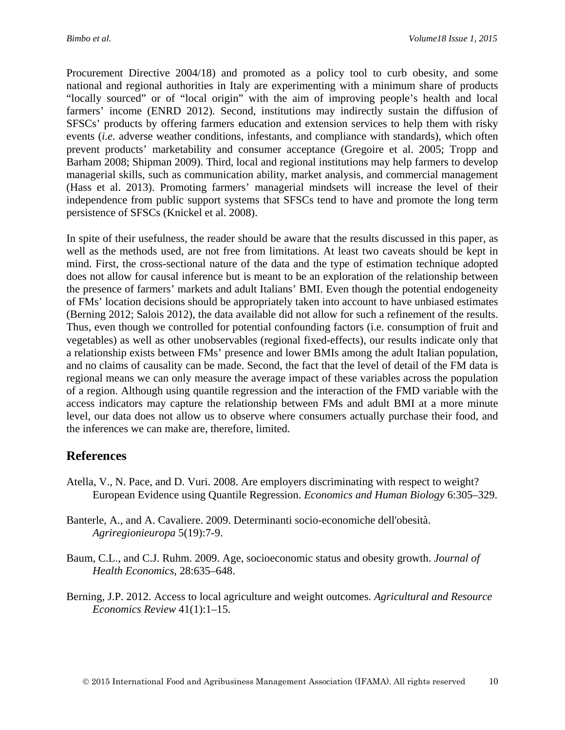Procurement Directive 2004/18) and promoted as a policy tool to curb obesity, and some national and regional authorities in Italy are experimenting with a minimum share of products "locally sourced" or of "local origin" with the aim of improving people's health and local farmers' income (ENRD 2012). Second, institutions may indirectly sustain the diffusion of SFSCs' products by offering farmers education and extension services to help them with risky events (*i.e.* adverse weather conditions, infestants, and compliance with standards), which often prevent products' marketability and consumer acceptance (Gregoire et al. 2005; Tropp and Barham 2008; Shipman 2009). Third, local and regional institutions may help farmers to develop managerial skills, such as communication ability, market analysis, and commercial management (Hass et al. 2013). Promoting farmers' managerial mindsets will increase the level of their independence from public support systems that SFSCs tend to have and promote the long term persistence of SFSCs (Knickel et al. 2008).

In spite of their usefulness, the reader should be aware that the results discussed in this paper, as well as the methods used, are not free from limitations. At least two caveats should be kept in mind. First, the cross-sectional nature of the data and the type of estimation technique adopted does not allow for causal inference but is meant to be an exploration of the relationship between the presence of farmers' markets and adult Italians' BMI. Even though the potential endogeneity of FMs' location decisions should be appropriately taken into account to have unbiased estimates (Berning 2012; Salois 2012), the data available did not allow for such a refinement of the results. Thus, even though we controlled for potential confounding factors (i.e. consumption of fruit and vegetables) as well as other unobservables (regional fixed-effects), our results indicate only that a relationship exists between FMs' presence and lower BMIs among the adult Italian population, and no claims of causality can be made. Second, the fact that the level of detail of the FM data is regional means we can only measure the average impact of these variables across the population of a region. Although using quantile regression and the interaction of the FMD variable with the access indicators may capture the relationship between FMs and adult BMI at a more minute level, our data does not allow us to observe where consumers actually purchase their food, and the inferences we can make are, therefore, limited.

## **References**

- Atella, V., N. Pace, and D. Vuri. 2008. Are employers discriminating with respect to weight? European Evidence using Quantile Regression. *Economics and Human Biology* 6:305–329.
- Banterle, A., and A. Cavaliere. 2009. Determinanti socio-economiche dell'obesità. *Agriregionieuropa* 5(19):7-9.
- Baum, C.L., and C.J. Ruhm. 2009. Age, socioeconomic status and obesity growth. *Journal of Health Economics*, 28:635–648.
- Berning, J.P. 2012. Access to local agriculture and weight outcomes. *Agricultural and Resource Economics Review* 41(1):1–15.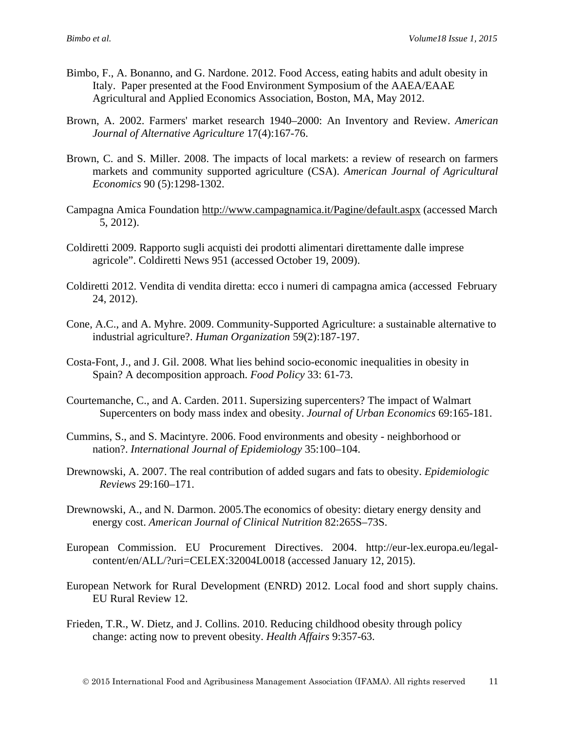- Bimbo, F., A. Bonanno, and G. Nardone. 2012. Food Access, eating habits and adult obesity in Italy. Paper presented at the Food Environment Symposium of the AAEA/EAAE Agricultural and Applied Economics Association, Boston, MA, May 2012.
- Brown, A. 2002. Farmers' market research 1940–2000: An Inventory and Review. *American Journal of Alternative Agriculture* 17(4):167-76.
- Brown, C. and S. Miller. 2008. The impacts of local markets: a review of research on farmers markets and community supported agriculture (CSA). *American Journal of Agricultural Economics* 90 (5):1298-1302.
- Campagna Amica Foundation<http://www.campagnamica.it/Pagine/default.aspx> (accessed March 5, 2012).
- Coldiretti 2009. Rapporto sugli acquisti dei prodotti alimentari direttamente dalle imprese agricole". Coldiretti News 951 (accessed October 19, 2009).
- Coldiretti 2012. Vendita di vendita diretta: ecco i numeri di campagna amica (accessed February 24, 2012).
- Cone, A.C., and A. Myhre. 2009. Community-Supported Agriculture: a sustainable alternative to industrial agriculture?. *Human Organization* 59(2):187-197.
- Costa-Font, J., and J. Gil. 2008. What lies behind socio-economic inequalities in obesity in Spain? A decomposition approach. *Food Policy* 33: 61-73.
- Courtemanche, C., and A. Carden. 2011. Supersizing supercenters? The impact of Walmart Supercenters on body mass index and obesity. *Journal of Urban Economics* 69:165-181.
- Cummins, S., and S. Macintyre. 2006. Food environments and obesity neighborhood or nation?. *International Journal of Epidemiology* 35:100–104.
- [Drewnowski,](http://epirev.oxfordjournals.org/search?author1=Adam+Drewnowski&sortspec=date&submit=Submit) A. 2007. The real contribution of added sugars and fats to obesity. *Epidemiologic Reviews* 29:160–171.
- Drewnowski, A., and N. Darmon. 2005.The economics of obesity: dietary energy density and energy cost. *American Journal of Clinical Nutrition* 82:265S–73S.
- European Commission. EU Procurement Directives. 2004. [http://eur-lex.europa.eu/legal](http://eur-lex.europa.eu/legal-content/en/ALL/?uri=CELEX:32004L0018)[content/en/ALL/?uri=CELEX:32004L0018](http://eur-lex.europa.eu/legal-content/en/ALL/?uri=CELEX:32004L0018) (accessed January 12, 2015).
- European Network for Rural Development (ENRD) 2012. Local food and short supply chains. EU Rural Review 12.
- Frieden, T.R., W. Dietz, and J. Collins. 2010. Reducing childhood obesity through policy change: acting now to prevent obesity. *Health Affairs* 9:357-63.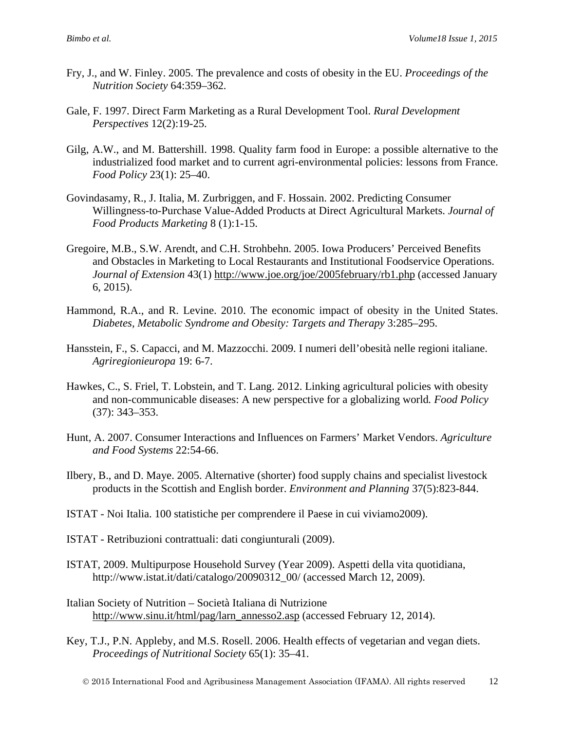- Fry, J., and W. Finley. 2005. The prevalence and costs of obesity in the EU. *Proceedings of the Nutrition Society* 64:359–362.
- Gale, F. 1997. Direct Farm Marketing as a Rural Development Tool. *Rural Development Perspectives* 12(2):19-25.
- Gilg, A.W., and M. Battershill. 1998. Quality farm food in Europe: a possible alternative to the industrialized food market and to current agri-environmental policies: lessons from France. *Food Policy* 23(1): 25–40.
- Govindasamy, R., J. Italia, M. Zurbriggen, and F. Hossain. 2002. Predicting Consumer Willingness-to-Purchase Value-Added Products at Direct Agricultural Markets. *Journal of Food Products Marketing* 8 (1):1-15.
- Gregoire, M.B., S.W. Arendt, and C.H. Strohbehn. 2005. Iowa Producers' Perceived Benefits and Obstacles in Marketing to Local Restaurants and Institutional Foodservice Operations. *Journal of Extension* 43(1) <http://www.joe.org/joe/2005february/rb1.php> (accessed January 6, 2015).
- Hammond, R.A., and R. Levine. 2010. The economic impact of obesity in the United States. *Diabetes, Metabolic Syndrome and Obesity: Targets and Therapy* 3:285–295.
- Hansstein, F., S. Capacci, and M. Mazzocchi. 2009. I numeri dell'obesità nelle regioni italiane. *Agriregionieuropa* 19: 6-7.
- Hawkes, C., S. Friel, T. Lobstein, and T. Lang. 2012. Linking agricultural policies with obesity and non-communicable diseases: A new perspective for a globalizing world*. Food Policy* (37): 343–353.
- Hunt, A. 2007. Consumer Interactions and Influences on Farmers' Market Vendors. *Agriculture and Food Systems* 22:54-66.
- Ilbery, B., and D. Maye. 2005. Alternative (shorter) food supply chains and specialist livestock products in the Scottish and English border. *Environment and Planning* 37(5):823-844.
- ISTAT Noi Italia. 100 statistiche per comprendere il Paese in cui viviamo2009).
- ISTAT Retribuzioni contrattuali: dati congiunturali (2009).
- ISTAT, 2009. Multipurpose Household Survey (Year 2009). Aspetti della vita quotidiana, http://www.istat.it/dati/catalogo/20090312\_00/ (accessed March 12, 2009).
- Italian Society of Nutrition Società Italiana di Nutrizione [http://www.sinu.it/html/pag/larn\\_annesso2.asp](http://www.sinu.it/html/pag/larn_annesso2.asp) (accessed February 12, 2014).
- Key, T.J., P.N. Appleby, and M.S. Rosell. 2006. Health effects of vegetarian and vegan diets. *Proceedings of Nutritional Society* 65(1): 35–41.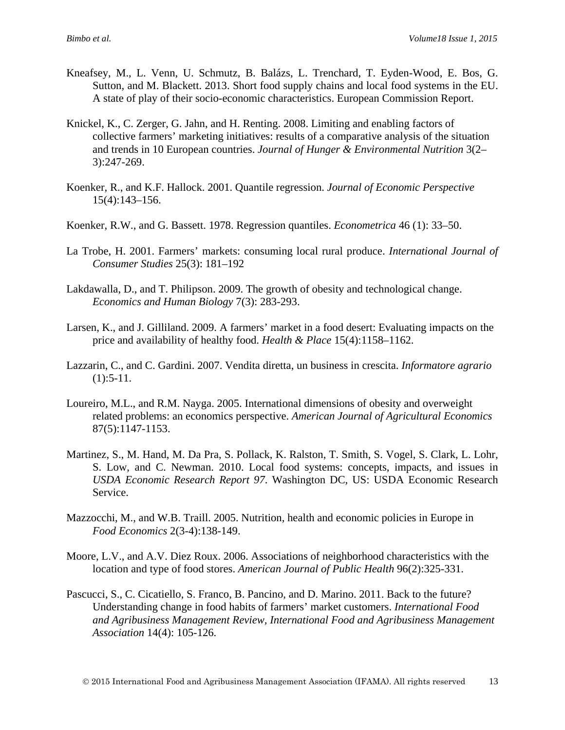- Kneafsey, M., L. Venn, U. Schmutz, B. Balázs, L. Trenchard, T. Eyden-Wood, E. Bos, G. Sutton, and M. Blackett. 2013. Short food supply chains and local food systems in the EU. A state of play of their socio-economic characteristics. European Commission Report.
- Knickel, K., C. Zerger, G. Jahn, and H. Renting. 2008. Limiting and enabling factors of collective farmers' marketing initiatives: results of a comparative analysis of the situation and trends in 10 European countries. *Journal of Hunger & Environmental Nutrition* 3(2– 3):247-269.
- Koenker, R., and K.F. Hallock. 2001. Quantile regression. *Journal of Economic Perspective* 15(4):143–156.
- Koenker, R.W., and G. Bassett. 1978. Regression quantiles. *Econometrica* 46 (1): 33–50.
- La Trobe, H. 2001. Farmers' markets: consuming local rural produce. *International Journal of Consumer Studies* 25(3): 181–192
- Lakdawalla, D., and T. Philipson. 2009. The growth of obesity and technological change. *Economics and Human Biology* 7(3): 283-293.
- Larsen, K., and J. Gilliland. 2009. A farmers' market in a food desert: Evaluating impacts on the price and availability of healthy food. *Health & Place* 15(4):1158–1162.
- Lazzarin, C., and C. Gardini. 2007. Vendita diretta, un business in crescita. *Informatore agrario*  $(1):$ 5-11.
- Loureiro, M.L., and R.M. Nayga. 2005. International dimensions of obesity and overweight related problems: an economics perspective. *American Journal of Agricultural Economics* 87(5):1147-1153.
- Martinez, S., M. Hand, M. Da Pra, S. Pollack, K. Ralston, T. Smith, S. Vogel, S. Clark, L. Lohr, S. Low, and C. Newman. 2010. Local food systems: concepts, impacts, and issues in *USDA Economic Research Report 97*. Washington DC, US: USDA Economic Research Service.
- Mazzocchi, M., and W.B. Traill. 2005. Nutrition, health and economic policies in Europe in *Food Economics* 2(3-4):138-149.
- Moore, L.V., and A.V. Diez Roux. 2006. Associations of neighborhood characteristics with the location and type of food stores. *American Journal of Public Health* 96(2):325-331.
- Pascucci, S., C. Cicatiello, S. Franco, B. Pancino, and D. Marino. 2011. Back to the future? Understanding change in food habits of farmers' market customers. *[International Food](http://ideas.repec.org/s/ags/ifaamr.html)  [and Agribusiness Management Review,](http://ideas.repec.org/s/ags/ifaamr.html) International Food and Agribusiness Management Association* 14(4): 105-126.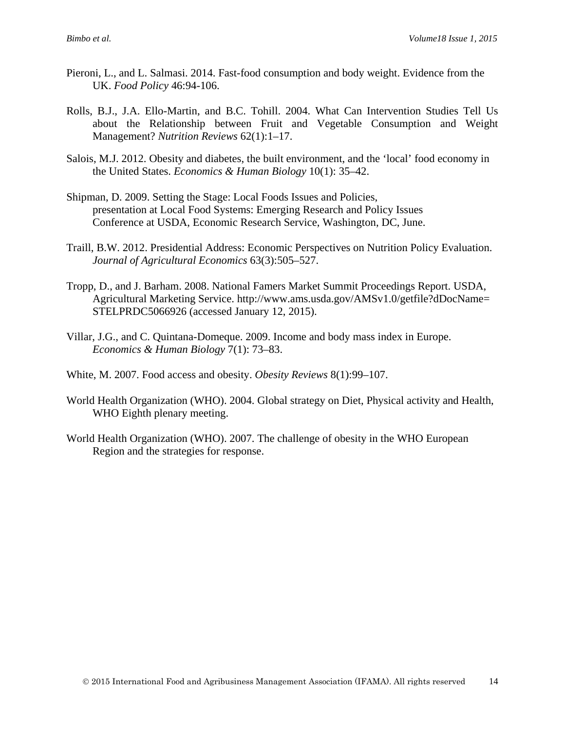- Pieroni, L., and L. Salmasi. 2014. Fast-food consumption and body weight. Evidence from the UK. *[Food Policy](http://www.sciencedirect.com/science/journal/03069192)* 46:94-106.
- Rolls, B.J., J.A. Ello-Martin, and B.C. Tohill. 2004. What Can Intervention Studies Tell Us about the Relationship between Fruit and Vegetable Consumption and Weight Management? *Nutrition Reviews* 62(1):1–17.
- [Salois,](http://www.sciencedirect.com/science?_ob=RedirectURL&_method=outwardLink&_partnerName=27983&_origin=article&_zone=art_page&_linkType=scopusAuthorDocuments&_targetURL=http%3A%2F%2Fwww.scopus.com%2Fscopus%2Finward%2Fauthor.url%3FpartnerID%3D10%26rel%3D3.0.0%26sortField%3Dcited%26sortOrder%3Dasc%26author%3DSalois,%2520Matthew%2520J.%26authorID%3D55032962300%26md5%3D31165cc4b80be68fe3a9b3f9375aaa25&_acct=C000056517&_version=1&_userid=2181479&md5=fe5e8b0436a1101affd7f1ee618e038e) M.J. 2012. Obesity and diabetes, the built environment, and the 'local' food economy in the United States. *Economics & Human Biology* 10(1): 35–42.
- Shipman, D. 2009. Setting the Stage: Local Foods Issues and Policies, presentation at Local Food Systems: Emerging Research and Policy Issues Conference at USDA, Economic Research Service, Washington, DC, June.
- Traill, B.W. 2012. Presidential Address: Economic Perspectives on Nutrition Policy Evaluation. *Journal of Agricultural Economics* 63(3):505–527.
- Tropp, D., and J. Barham. 2008. National Famers Market Summit Proceedings Report. USDA, Agricultural Marketing Service. http://www.ams.usda.gov/AMSv1.0/getfile?dDocName= STELPRDC5066926 (accessed January 12, 2015).
- Villar, J.G., and C. Quintana-Domeque. 2009. Income and body mass index in Europe. *[Economics & Human Biology](http://www.sciencedirect.com/science/journal/1570677X)* [7\(1\)](http://www.sciencedirect.com/science/journal/1570677X/7/1): 73–83.
- White, M. 2007. Food access and obesity. *Obesity Reviews* 8(1):99–107.
- World Health Organization (WHO). 2004. Global strategy on Diet, Physical activity and Health, WHO Eighth plenary meeting.
- World Health Organization (WHO). 2007. The challenge of obesity in the WHO European Region and the strategies for response.